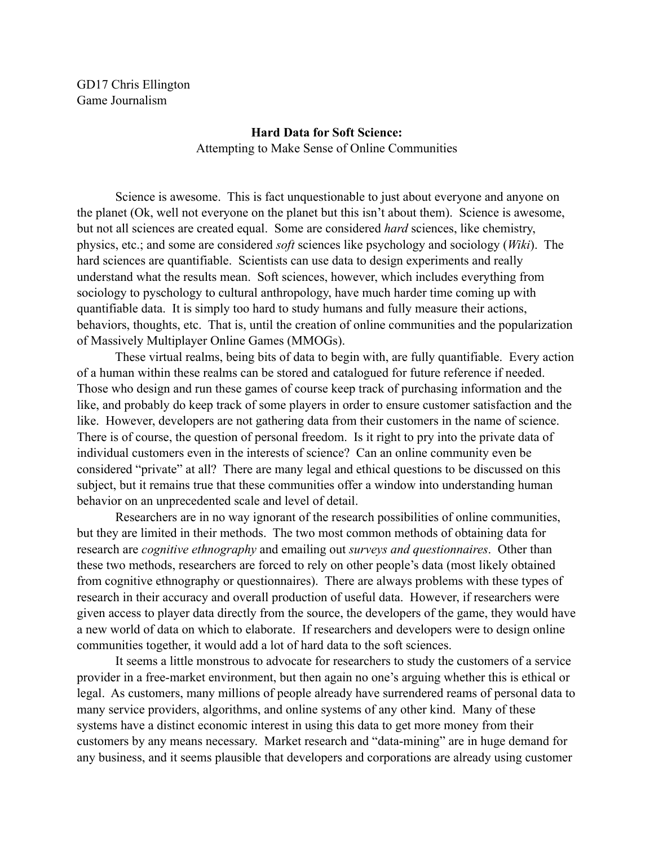GD17 Chris Ellington Game Journalism

## **Hard Data for Soft Science:** Attempting to Make Sense of Online Communities

 Science is awesome. This is fact unquestionable to just about everyone and anyone on the planet (Ok, well not everyone on the planet but this isn't about them). Science is awesome, but not all sciences are created equal. Some are considered *hard* sciences, like chemistry, physics, etc.; and some are considered *soft* sciences like psychology and sociology (*Wiki*). The hard sciences are quantifiable. Scientists can use data to design experiments and really understand what the results mean. Soft sciences, however, which includes everything from sociology to pyschology to cultural anthropology, have much harder time coming up with quantifiable data. It is simply too hard to study humans and fully measure their actions, behaviors, thoughts, etc. That is, until the creation of online communities and the popularization of Massively Multiplayer Online Games (MMOGs).

 These virtual realms, being bits of data to begin with, are fully quantifiable. Every action of a human within these realms can be stored and catalogued for future reference if needed. Those who design and run these games of course keep track of purchasing information and the like, and probably do keep track of some players in order to ensure customer satisfaction and the like. However, developers are not gathering data from their customers in the name of science. There is of course, the question of personal freedom. Is it right to pry into the private data of individual customers even in the interests of science? Can an online community even be considered "private" at all? There are many legal and ethical questions to be discussed on this subject, but it remains true that these communities offer a window into understanding human behavior on an unprecedented scale and level of detail.

 Researchers are in no way ignorant of the research possibilities of online communities, but they are limited in their methods. The two most common methods of obtaining data for research are *cognitive ethnography* and emailing out *surveys and questionnaires*. Other than these two methods, researchers are forced to rely on other people's data (most likely obtained from cognitive ethnography or questionnaires). There are always problems with these types of research in their accuracy and overall production of useful data. However, if researchers were given access to player data directly from the source, the developers of the game, they would have a new world of data on which to elaborate. If researchers and developers were to design online communities together, it would add a lot of hard data to the soft sciences.

 It seems a little monstrous to advocate for researchers to study the customers of a service provider in a free-market environment, but then again no one's arguing whether this is ethical or legal. As customers, many millions of people already have surrendered reams of personal data to many service providers, algorithms, and online systems of any other kind. Many of these systems have a distinct economic interest in using this data to get more money from their customers by any means necessary. Market research and "data-mining" are in huge demand for any business, and it seems plausible that developers and corporations are already using customer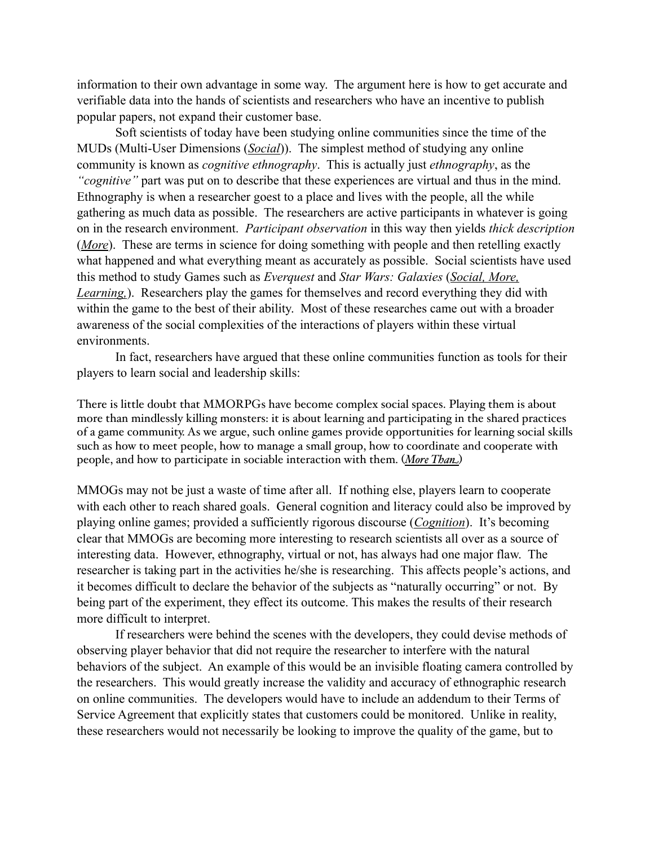information to their own advantage in some way. The argument here is how to get accurate and verifiable data into the hands of scientists and researchers who have an incentive to publish popular papers, not expand their customer base.

 Soft scientists of today have been studying online communities since the time of the MUDs (Multi-User Dimensions (*Social*)). The simplest method of studying any online community is known as *cognitive ethnography*. This is actually just *ethnography*, as the *"cognitive"* part was put on to describe that these experiences are virtual and thus in the mind. Ethnography is when a researcher goest to a place and lives with the people, all the while gathering as much data as possible. The researchers are active participants in whatever is going on in the research environment. *Participant observation* in this way then yields *thick description*  (*More*). These are terms in science for doing something with people and then retelling exactly what happened and what everything meant as accurately as possible. Social scientists have used this method to study Games such as *Everquest* and *Star Wars: Galaxies* (*Social, More, Learning,*). Researchers play the games for themselves and record everything they did with within the game to the best of their ability. Most of these researches came out with a broader awareness of the social complexities of the interactions of players within these virtual environments.

 In fact, researchers have argued that these online communities function as tools for their players to learn social and leadership skills:

There is little doubt that MMORPGs have become complex social spaces. Playing them is about more than mindlessly killing monsters: it is about learning and participating in the shared practices of a game community. As we argue, such online games provide opportunities for learning social skills such as how to meet people, how to manage a small group, how to coordinate and cooperate with people, and how to participate in sociable interaction with them. (*More Than*)

MMOGs may not be just a waste of time after all. If nothing else, players learn to cooperate with each other to reach shared goals. General cognition and literacy could also be improved by playing online games; provided a sufficiently rigorous discourse (*Cognition*). It's becoming clear that MMOGs are becoming more interesting to research scientists all over as a source of interesting data. However, ethnography, virtual or not, has always had one major flaw. The researcher is taking part in the activities he/she is researching. This affects people's actions, and it becomes difficult to declare the behavior of the subjects as "naturally occurring" or not. By being part of the experiment, they effect its outcome. This makes the results of their research more difficult to interpret.

 If researchers were behind the scenes with the developers, they could devise methods of observing player behavior that did not require the researcher to interfere with the natural behaviors of the subject. An example of this would be an invisible floating camera controlled by the researchers. This would greatly increase the validity and accuracy of ethnographic research on online communities. The developers would have to include an addendum to their Terms of Service Agreement that explicitly states that customers could be monitored. Unlike in reality, these researchers would not necessarily be looking to improve the quality of the game, but to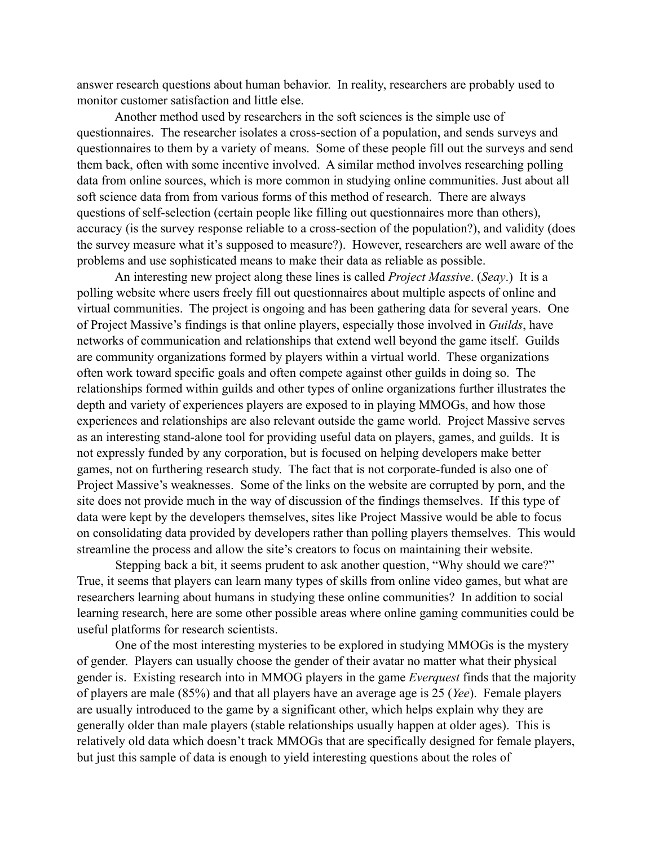answer research questions about human behavior. In reality, researchers are probably used to monitor customer satisfaction and little else.

 Another method used by researchers in the soft sciences is the simple use of questionnaires. The researcher isolates a cross-section of a population, and sends surveys and questionnaires to them by a variety of means. Some of these people fill out the surveys and send them back, often with some incentive involved. A similar method involves researching polling data from online sources, which is more common in studying online communities. Just about all soft science data from from various forms of this method of research. There are always questions of self-selection (certain people like filling out questionnaires more than others), accuracy (is the survey response reliable to a cross-section of the population?), and validity (does the survey measure what it's supposed to measure?). However, researchers are well aware of the problems and use sophisticated means to make their data as reliable as possible.

 An interesting new project along these lines is called *Project Massive*. (*Seay*.) It is a polling website where users freely fill out questionnaires about multiple aspects of online and virtual communities. The project is ongoing and has been gathering data for several years. One of Project Massive's findings is that online players, especially those involved in *Guilds*, have networks of communication and relationships that extend well beyond the game itself. Guilds are community organizations formed by players within a virtual world. These organizations often work toward specific goals and often compete against other guilds in doing so. The relationships formed within guilds and other types of online organizations further illustrates the depth and variety of experiences players are exposed to in playing MMOGs, and how those experiences and relationships are also relevant outside the game world. Project Massive serves as an interesting stand-alone tool for providing useful data on players, games, and guilds. It is not expressly funded by any corporation, but is focused on helping developers make better games, not on furthering research study. The fact that is not corporate-funded is also one of Project Massive's weaknesses. Some of the links on the website are corrupted by porn, and the site does not provide much in the way of discussion of the findings themselves. If this type of data were kept by the developers themselves, sites like Project Massive would be able to focus on consolidating data provided by developers rather than polling players themselves. This would streamline the process and allow the site's creators to focus on maintaining their website.

 Stepping back a bit, it seems prudent to ask another question, "Why should we care?" True, it seems that players can learn many types of skills from online video games, but what are researchers learning about humans in studying these online communities? In addition to social learning research, here are some other possible areas where online gaming communities could be useful platforms for research scientists.

 One of the most interesting mysteries to be explored in studying MMOGs is the mystery of gender. Players can usually choose the gender of their avatar no matter what their physical gender is. Existing research into in MMOG players in the game *Everquest* finds that the majority of players are male (85%) and that all players have an average age is 25 (*Yee*). Female players are usually introduced to the game by a significant other, which helps explain why they are generally older than male players (stable relationships usually happen at older ages). This is relatively old data which doesn't track MMOGs that are specifically designed for female players, but just this sample of data is enough to yield interesting questions about the roles of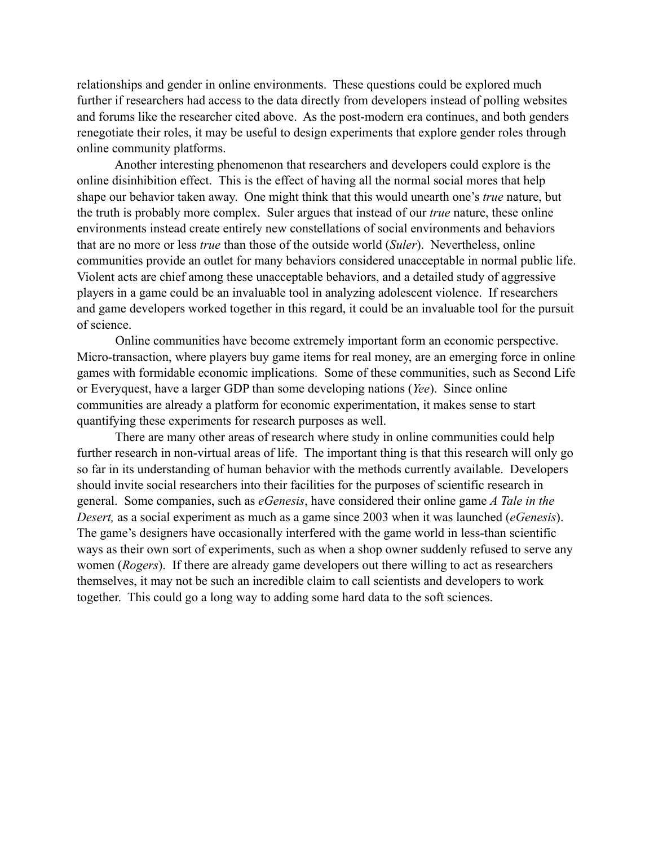relationships and gender in online environments. These questions could be explored much further if researchers had access to the data directly from developers instead of polling websites and forums like the researcher cited above. As the post-modern era continues, and both genders renegotiate their roles, it may be useful to design experiments that explore gender roles through online community platforms.

 Another interesting phenomenon that researchers and developers could explore is the online disinhibition effect. This is the effect of having all the normal social mores that help shape our behavior taken away. One might think that this would unearth one's *true* nature, but the truth is probably more complex. Suler argues that instead of our *true* nature, these online environments instead create entirely new constellations of social environments and behaviors that are no more or less *true* than those of the outside world (*Suler*). Nevertheless, online communities provide an outlet for many behaviors considered unacceptable in normal public life. Violent acts are chief among these unacceptable behaviors, and a detailed study of aggressive players in a game could be an invaluable tool in analyzing adolescent violence. If researchers and game developers worked together in this regard, it could be an invaluable tool for the pursuit of science.

 Online communities have become extremely important form an economic perspective. Micro-transaction, where players buy game items for real money, are an emerging force in online games with formidable economic implications. Some of these communities, such as Second Life or Everyquest, have a larger GDP than some developing nations (*Yee*). Since online communities are already a platform for economic experimentation, it makes sense to start quantifying these experiments for research purposes as well.

 There are many other areas of research where study in online communities could help further research in non-virtual areas of life. The important thing is that this research will only go so far in its understanding of human behavior with the methods currently available. Developers should invite social researchers into their facilities for the purposes of scientific research in general. Some companies, such as *eGenesis*, have considered their online game *A Tale in the Desert,* as a social experiment as much as a game since 2003 when it was launched (*eGenesis*). The game's designers have occasionally interfered with the game world in less-than scientific ways as their own sort of experiments, such as when a shop owner suddenly refused to serve any women (*Rogers*). If there are already game developers out there willing to act as researchers themselves, it may not be such an incredible claim to call scientists and developers to work together. This could go a long way to adding some hard data to the soft sciences.